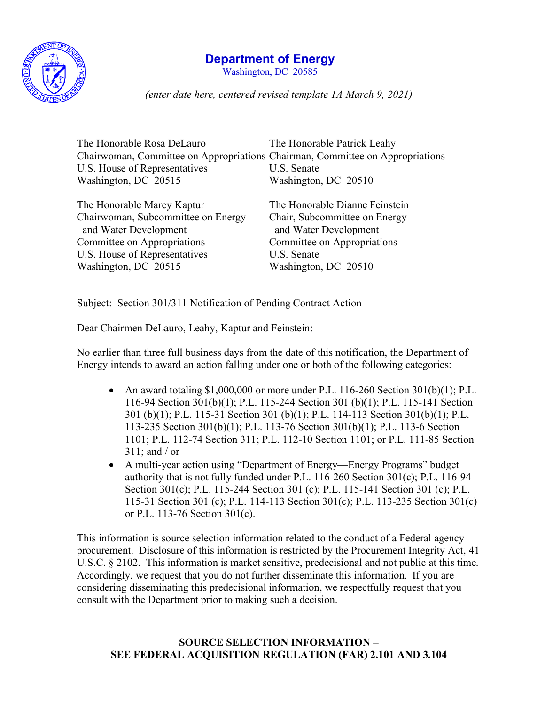

## **Department of Energy**

Washington, DC 20585

*(enter date here, centered revised template 1A March 9, 2021)*

| The Honorable Rosa DeLauro                                                    | The Honorable Patrick Leahy                            |
|-------------------------------------------------------------------------------|--------------------------------------------------------|
| Chairwoman, Committee on Appropriations Chairman, Committee on Appropriations |                                                        |
| U.S. House of Representatives                                                 | U.S. Senate                                            |
| Washington, DC 20515                                                          | Washington, DC 20510                                   |
| The Honorable Marcy Kaptur                                                    | The Honorable Dianne Feinstein                         |
| Chairwoman, Subcommittee on Energy<br>and Water Development                   | Chair, Subcommittee on Energy<br>and Water Development |
| Committee on Appropriations                                                   | Committee on Appropriations                            |
| U.S. House of Representatives                                                 | U.S. Senate                                            |
| Washington, DC 20515                                                          | Washington, DC 20510                                   |
|                                                                               |                                                        |

Subject: Section 301/311 Notification of Pending Contract Action

Dear Chairmen DeLauro, Leahy, Kaptur and Feinstein:

No earlier than three full business days from the date of this notification, the Department of Energy intends to award an action falling under one or both of the following categories:

- An award totaling  $$1,000,000$  or more under P.L. 116-260 Section 301(b)(1); P.L. 116-94 Section 301(b)(1); P.L. 115-244 Section 301 (b)(1); P.L. 115-141 Section 301 (b)(1); P.L. 115-31 Section 301 (b)(1); P.L. 114-113 Section 301(b)(1); P.L. 113-235 Section 301(b)(1); P.L. 113-76 Section 301(b)(1); P.L. 113-6 Section 1101; P.L. 112-74 Section 311; P.L. 112-10 Section 1101; or P.L. 111-85 Section 311; and / or
- A multi-year action using "Department of Energy—Energy Programs" budget authority that is not fully funded under P.L. 116-260 Section 301(c); P.L. 116-94 Section 301(c); P.L. 115-244 Section 301 (c); P.L. 115-141 Section 301 (c); P.L. 115-31 Section 301 (c); P.L. 114-113 Section 301(c); P.L. 113-235 Section 301(c) or P.L. 113-76 Section 301(c).

This information is source selection information related to the conduct of a Federal agency procurement. Disclosure of this information is restricted by the Procurement Integrity Act, 41 U.S.C. § 2102. This information is market sensitive, predecisional and not public at this time. Accordingly, we request that you do not further disseminate this information. If you are considering disseminating this predecisional information, we respectfully request that you consult with the Department prior to making such a decision.

## **SOURCE SELECTION INFORMATION – SEE FEDERAL ACQUISITION REGULATION (FAR) 2.101 AND 3.104**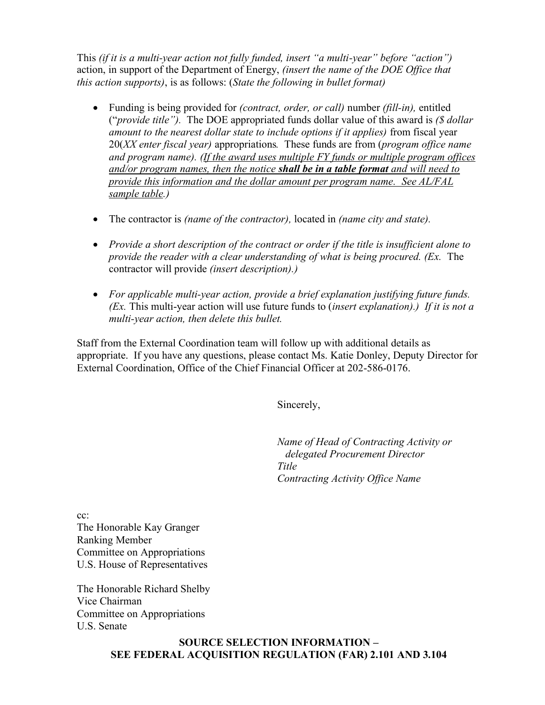This *(if it is a multi-year action not fully funded, insert "a multi-year" before "action")* action, in support of the Department of Energy, *(insert the name of the DOE Office that this action supports)*, is as follows: (*State the following in bullet format)*

- Funding is being provided for *(contract, order, or call)* number *(fill-in),* entitled ("*provide title").* The DOE appropriated funds dollar value of this award is *(\$ dollar amount to the nearest dollar state to include options if it applies)* from fiscal year 20(*XX enter fiscal year)* appropriations*.* These funds are from (*program office name and program name). (If the award uses multiple FY funds or multiple program offices and/or program names, then the notice shall be in a table format and will need to provide this information and the dollar amount per program name. See AL/FAL sample table.)*
- The contractor is *(name of the contractor),* located in *(name city and state).*
- *Provide a short description of the contract or order if the title is insufficient alone to provide the reader with a clear understanding of what is being procured. (Ex.* The contractor will provide *(insert description).)*
- *For applicable multi-year action, provide a brief explanation justifying future funds. (Ex.* This multi-year action will use future funds to (*insert explanation).) If it is not a multi-year action, then delete this bullet.*

Staff from the External Coordination team will follow up with additional details as appropriate. If you have any questions, please contact Ms. Katie Donley, Deputy Director for External Coordination, Office of the Chief Financial Officer at 202-586-0176.

Sincerely,

*Name of Head of Contracting Activity or delegated Procurement Director Title Contracting Activity Office Name*

cc: The Honorable Kay Granger Ranking Member Committee on Appropriations U.S. House of Representatives

The Honorable Richard Shelby Vice Chairman Committee on Appropriations U.S. Senate

> **SOURCE SELECTION INFORMATION – SEE FEDERAL ACQUISITION REGULATION (FAR) 2.101 AND 3.104**